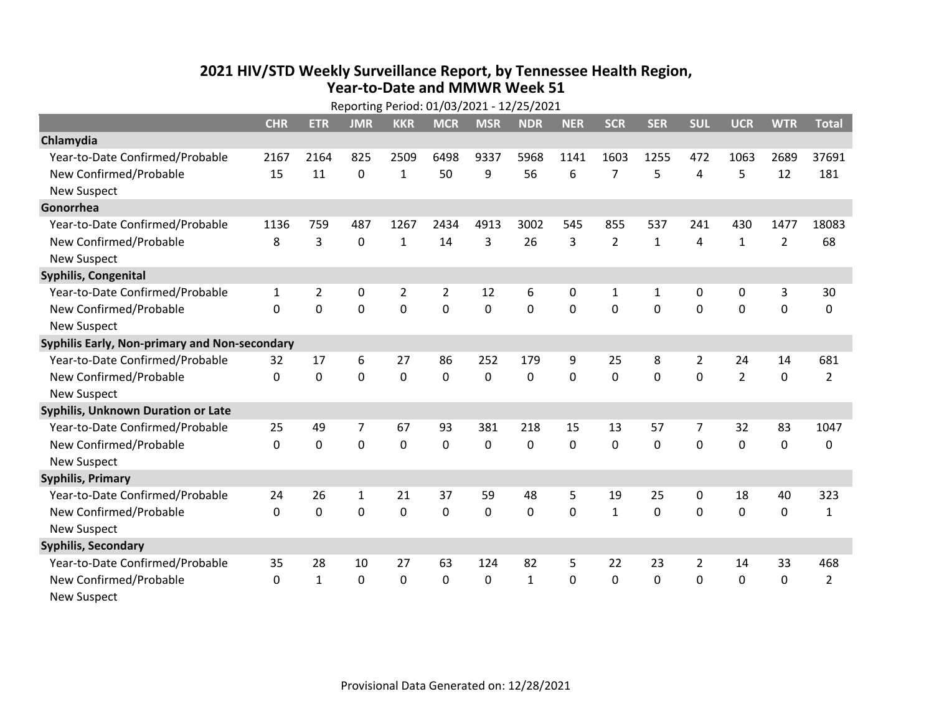## **2021 HIV /STD Weekly Surveillance Report, by Tennessee Health Region, Year‐to‐Date and MMWR Week 51** Reporting Period: 01/03/2021 ‐ 12/25/2021

| Reporting Period: 01/03/2021 - 12/25/2021     |            |                |                |                |                |             |              |            |                |              |                |                |                |                |
|-----------------------------------------------|------------|----------------|----------------|----------------|----------------|-------------|--------------|------------|----------------|--------------|----------------|----------------|----------------|----------------|
|                                               | <b>CHR</b> | <b>ETR</b>     | <b>JMR</b>     | <b>KKR</b>     | <b>MCR</b>     | <b>MSR</b>  | <b>NDR</b>   | <b>NER</b> | <b>SCR</b>     | <b>SER</b>   | <b>SUL</b>     | <b>UCR</b>     | <b>WTR</b>     | <b>Total</b>   |
| Chlamydia                                     |            |                |                |                |                |             |              |            |                |              |                |                |                |                |
| Year-to-Date Confirmed/Probable               | 2167       | 2164           | 825            | 2509           | 6498           | 9337        | 5968         | 1141       | 1603           | 1255         | 472            | 1063           | 2689           | 37691          |
| New Confirmed/Probable                        | 15         | 11             | $\mathbf 0$    | $\mathbf{1}$   | 50             | 9           | 56           | 6          | $\overline{7}$ | 5            | 4              | 5              | 12             | 181            |
| <b>New Suspect</b>                            |            |                |                |                |                |             |              |            |                |              |                |                |                |                |
| Gonorrhea                                     |            |                |                |                |                |             |              |            |                |              |                |                |                |                |
| Year-to-Date Confirmed/Probable               | 1136       | 759            | 487            | 1267           | 2434           | 4913        | 3002         | 545        | 855            | 537          | 241            | 430            | 1477           | 18083          |
| New Confirmed/Probable                        | 8          | 3              | $\mathbf 0$    | $\mathbf{1}$   | 14             | 3           | 26           | 3          | $\overline{2}$ | $\mathbf{1}$ | 4              | $\mathbf{1}$   | $\overline{2}$ | 68             |
| <b>New Suspect</b>                            |            |                |                |                |                |             |              |            |                |              |                |                |                |                |
| <b>Syphilis, Congenital</b>                   |            |                |                |                |                |             |              |            |                |              |                |                |                |                |
| Year-to-Date Confirmed/Probable               | 1          | $\overline{2}$ | 0              | $\overline{2}$ | $\overline{2}$ | 12          | 6            | 0          | 1              | 1            | 0              | 0              | 3              | 30             |
| New Confirmed/Probable                        | $\Omega$   | $\mathbf 0$    | $\overline{0}$ | $\mathbf 0$    | $\mathbf 0$    | $\mathbf 0$ | 0            | $\Omega$   | $\Omega$       | $\mathbf 0$  | $\mathbf 0$    | $\mathbf 0$    | $\mathbf 0$    | 0              |
| <b>New Suspect</b>                            |            |                |                |                |                |             |              |            |                |              |                |                |                |                |
| Syphilis Early, Non-primary and Non-secondary |            |                |                |                |                |             |              |            |                |              |                |                |                |                |
| Year-to-Date Confirmed/Probable               | 32         | 17             | 6              | 27             | 86             | 252         | 179          | 9          | 25             | 8            | $\overline{2}$ | 24             | 14             | 681            |
| New Confirmed/Probable                        | $\Omega$   | 0              | $\Omega$       | 0              | 0              | 0           | 0            | $\Omega$   | $\Omega$       | 0            | $\mathbf 0$    | $\overline{2}$ | $\mathbf 0$    | $\overline{2}$ |
| <b>New Suspect</b>                            |            |                |                |                |                |             |              |            |                |              |                |                |                |                |
| Syphilis, Unknown Duration or Late            |            |                |                |                |                |             |              |            |                |              |                |                |                |                |
| Year-to-Date Confirmed/Probable               | 25         | 49             | 7              | 67             | 93             | 381         | 218          | 15         | 13             | 57           | 7              | 32             | 83             | 1047           |
| New Confirmed/Probable                        | 0          | 0              | $\overline{0}$ | $\mathbf 0$    | 0              | 0           | 0            | $\Omega$   | $\Omega$       | 0            | $\mathbf 0$    | $\mathbf 0$    | $\mathbf 0$    | 0              |
| <b>New Suspect</b>                            |            |                |                |                |                |             |              |            |                |              |                |                |                |                |
| <b>Syphilis, Primary</b>                      |            |                |                |                |                |             |              |            |                |              |                |                |                |                |
| Year-to-Date Confirmed/Probable               | 24         | 26             | $\mathbf{1}$   | 21             | 37             | 59          | 48           | 5          | 19             | 25           | 0              | 18             | 40             | 323            |
| New Confirmed/Probable                        | $\Omega$   | 0              | $\mathbf 0$    | $\mathbf 0$    | $\mathbf 0$    | $\mathbf 0$ | $\Omega$     | 0          | $\mathbf{1}$   | 0            | $\mathbf 0$    | 0              | 0              | $\mathbf{1}$   |
| <b>New Suspect</b>                            |            |                |                |                |                |             |              |            |                |              |                |                |                |                |
| <b>Syphilis, Secondary</b>                    |            |                |                |                |                |             |              |            |                |              |                |                |                |                |
| Year-to-Date Confirmed/Probable               | 35         | 28             | 10             | 27             | 63             | 124         | 82           | 5          | 22             | 23           | $\overline{2}$ | 14             | 33             | 468            |
| New Confirmed/Probable                        | $\Omega$   | $\mathbf{1}$   | $\Omega$       | $\mathbf{0}$   | $\mathbf{0}$   | 0           | $\mathbf{1}$ | $\Omega$   | $\Omega$       | $\Omega$     | $\mathbf{0}$   | $\mathbf{0}$   | 0              | $\overline{2}$ |
| <b>New Suspect</b>                            |            |                |                |                |                |             |              |            |                |              |                |                |                |                |